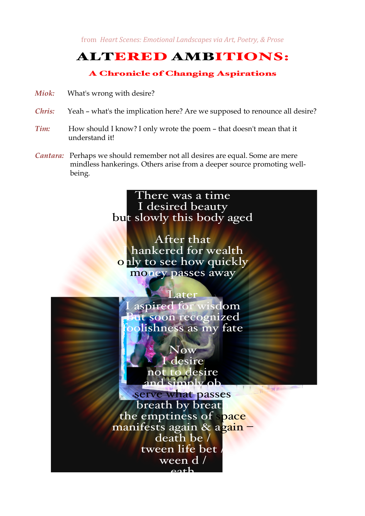from *Heart Scenes: Emotional Landscapes via Art, Poetry, & Prose* 

## ALTERED AMBITIONS:

## A Chronicle of Changing Aspirations

- *Miok:* What's wrong with desire?
- *Chris:* Yeah what's the implication here? Are we supposed to renounce all desire?
- *Tim:* How should I know? I only wrote the poem that doesn't mean that it understand it!
- *Cantara:* Perhaps we should remember not all desires are equal. Some are mere mindless hankerings. Others arise from a deeper source promoting wellbeing.

## There was a time I desired beauty but slowly this body aged

After that hankered for wealth only to see how quickly money passes away

Later aspired for wisdom at soon recognized blishness as my fate Now I desire not to desire  $imn$ ly ob serve what passes<br>breath by breat

the emptiness of space manifests again & again death be / tween life bet ween d / eath